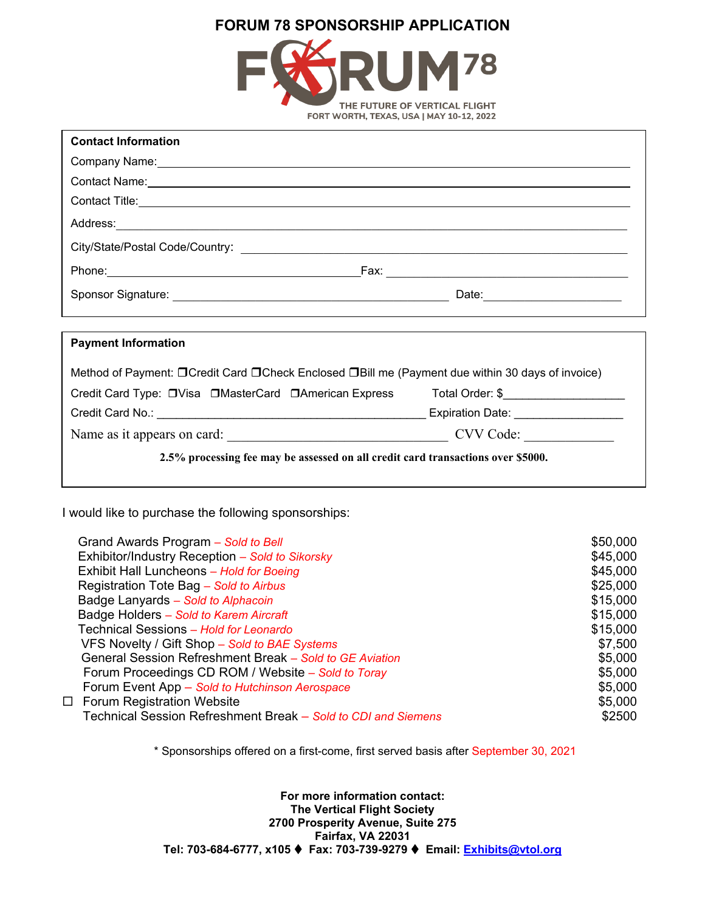# **FORUM 78 SPONSORSHIP APPLICATION**



| <b>Contact Information</b>                                                                                                                                                                                                     |  |  |
|--------------------------------------------------------------------------------------------------------------------------------------------------------------------------------------------------------------------------------|--|--|
| Company Name: Name and Second Company Name and Second Company Name and Second Company Name and Second Company of the Company of the Company of the Company of the Company of the Company of the Company of the Company of the  |  |  |
| Contact Name: contact Name: contact Name: contact Name: contact Name: contact Name: contact Name: contact Name: contact Name: contact Name: contact Name: contact Name: contact Name: contact Name: contact Name: contact Name |  |  |
| Contact Title: <u>Contact Title</u> Contact Title Contact Title Contact Title Contact Title Contact Title Contact Title                                                                                                        |  |  |
|                                                                                                                                                                                                                                |  |  |
|                                                                                                                                                                                                                                |  |  |
|                                                                                                                                                                                                                                |  |  |
|                                                                                                                                                                                                                                |  |  |
|                                                                                                                                                                                                                                |  |  |
| <b>Payment Information</b>                                                                                                                                                                                                     |  |  |
| Method of Payment: □ Credit Card □ Check Enclosed □ Bill me (Payment due within 30 days of invoice)                                                                                                                            |  |  |
| Credit Card Type: □Visa □MasterCard □American Express Total Order: \$                                                                                                                                                          |  |  |
|                                                                                                                                                                                                                                |  |  |
|                                                                                                                                                                                                                                |  |  |
| 2.5% processing fee may be assessed on all credit card transactions over \$5000.                                                                                                                                               |  |  |

I would like to purchase the following sponsorships:

| Grand Awards Program - Sold to Bell                           | \$50,000 |
|---------------------------------------------------------------|----------|
| Exhibitor/Industry Reception - Sold to Sikorsky               | \$45,000 |
| Exhibit Hall Luncheons - Hold for Boeing                      | \$45,000 |
| Registration Tote Bag - Sold to Airbus                        | \$25,000 |
| Badge Lanyards - Sold to Alphacoin                            | \$15,000 |
| Badge Holders - Sold to Karem Aircraft                        | \$15,000 |
| Technical Sessions - Hold for Leonardo                        | \$15,000 |
| VFS Novelty / Gift Shop - Sold to BAE Systems                 | \$7,500  |
| General Session Refreshment Break - Sold to GE Aviation       | \$5,000  |
| Forum Proceedings CD ROM / Website – Sold to Toray            | \$5,000  |
| Forum Event App - Sold to Hutchinson Aerospace                | \$5,000  |
| $\Box$ Forum Registration Website                             | \$5,000  |
| Technical Session Refreshment Break - Sold to CDI and Siemens | \$2500   |
|                                                               |          |

\* Sponsorships offered on a first-come, first served basis after September 30, 2021

**For more information contact: The Vertical Flight Society 2700 Prosperity Avenue, Suite 275 Fairfax, VA 22031 Tel: 703-684-6777, x105 Fax: 703-739-9279 Email: [Exhibits@vtol.org](mailto:Exhibits@vtol.org)**